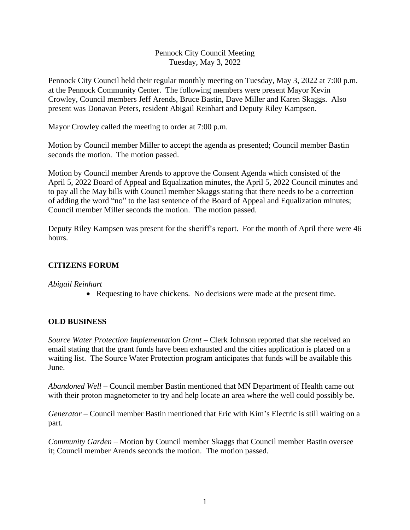#### Pennock City Council Meeting Tuesday, May 3, 2022

Pennock City Council held their regular monthly meeting on Tuesday, May 3, 2022 at 7:00 p.m. at the Pennock Community Center. The following members were present Mayor Kevin Crowley, Council members Jeff Arends, Bruce Bastin, Dave Miller and Karen Skaggs. Also present was Donavan Peters, resident Abigail Reinhart and Deputy Riley Kampsen.

Mayor Crowley called the meeting to order at 7:00 p.m.

Motion by Council member Miller to accept the agenda as presented; Council member Bastin seconds the motion. The motion passed.

Motion by Council member Arends to approve the Consent Agenda which consisted of the April 5, 2022 Board of Appeal and Equalization minutes, the April 5, 2022 Council minutes and to pay all the May bills with Council member Skaggs stating that there needs to be a correction of adding the word "no" to the last sentence of the Board of Appeal and Equalization minutes; Council member Miller seconds the motion. The motion passed.

Deputy Riley Kampsen was present for the sheriff's report. For the month of April there were 46 hours.

# **CITIZENS FORUM**

*Abigail Reinhart*

• Requesting to have chickens. No decisions were made at the present time.

## **OLD BUSINESS**

*Source Water Protection Implementation Grant* – Clerk Johnson reported that she received an email stating that the grant funds have been exhausted and the cities application is placed on a waiting list. The Source Water Protection program anticipates that funds will be available this June.

*Abandoned Well –* Council member Bastin mentioned that MN Department of Health came out with their proton magnetometer to try and help locate an area where the well could possibly be.

*Generator* – Council member Bastin mentioned that Eric with Kim's Electric is still waiting on a part.

*Community Garden* – Motion by Council member Skaggs that Council member Bastin oversee it; Council member Arends seconds the motion. The motion passed.